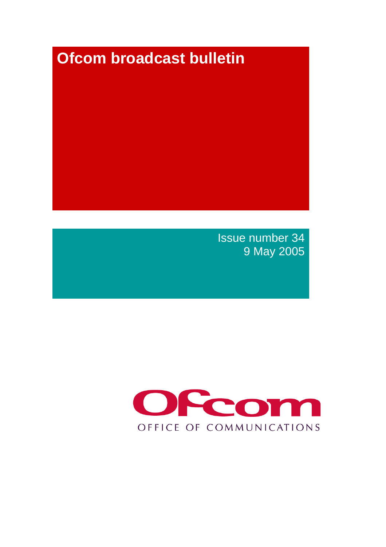# **Ofcom broadcast bulletin**

Issue number 34 9 May 2005

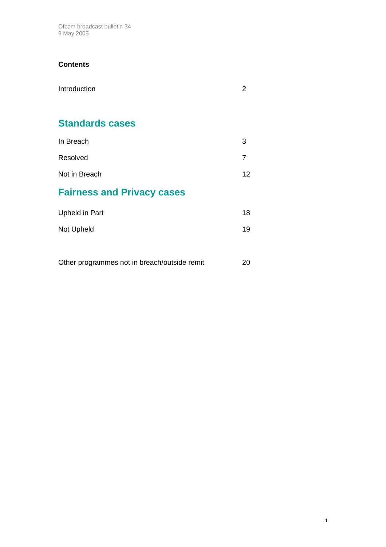Ofcom broadcast bulletin 34 9 May 2005

### **Contents**

| Introduction                      |                |
|-----------------------------------|----------------|
| <b>Standards cases</b>            |                |
| In Breach                         | 3              |
| Resolved                          | $\overline{7}$ |
| Not in Breach                     | 12             |
| <b>Fairness and Privacy cases</b> |                |
| <b>Upheld in Part</b>             | 18             |
| Not Upheld                        | 19             |
|                                   |                |

Other programmes not in breach/outside remit 20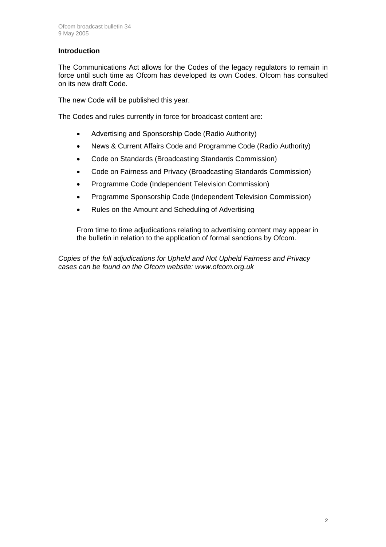#### **Introduction**

The Communications Act allows for the Codes of the legacy regulators to remain in force until such time as Ofcom has developed its own Codes. Ofcom has consulted on its new draft Code.

The new Code will be published this year.

The Codes and rules currently in force for broadcast content are:

- Advertising and Sponsorship Code (Radio Authority)
- News & Current Affairs Code and Programme Code (Radio Authority)
- Code on Standards (Broadcasting Standards Commission)
- Code on Fairness and Privacy (Broadcasting Standards Commission)
- Programme Code (Independent Television Commission)
- Programme Sponsorship Code (Independent Television Commission)
- Rules on the Amount and Scheduling of Advertising

From time to time adjudications relating to advertising content may appear in the bulletin in relation to the application of formal sanctions by Ofcom.

*Copies of the full adjudications for Upheld and Not Upheld Fairness and Privacy cases can be found on the Ofcom website: www.ofcom.org.uk*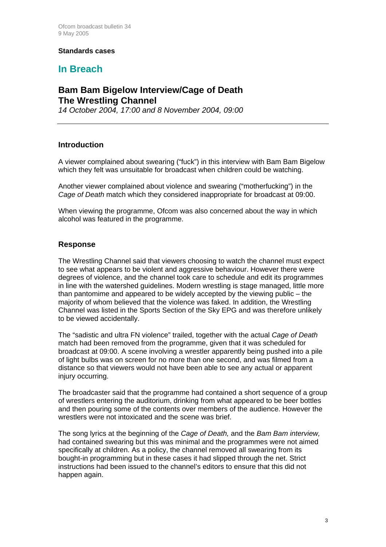#### **Standards cases**

# **In Breach**

# **Bam Bam Bigelow Interview/Cage of Death The Wrestling Channel**

*14 October 2004, 17:00 and 8 November 2004, 09:00*

#### **Introduction**

A viewer complained about swearing ("fuck") in this interview with Bam Bam Bigelow which they felt was unsuitable for broadcast when children could be watching.

Another viewer complained about violence and swearing ("motherfucking") in the *Cage of Death* match which they considered inappropriate for broadcast at 09:00.

When viewing the programme, Ofcom was also concerned about the way in which alcohol was featured in the programme.

#### **Response**

The Wrestling Channel said that viewers choosing to watch the channel must expect to see what appears to be violent and aggressive behaviour. However there were degrees of violence, and the channel took care to schedule and edit its programmes in line with the watershed guidelines. Modern wrestling is stage managed, little more than pantomime and appeared to be widely accepted by the viewing public – the majority of whom believed that the violence was faked. In addition, the Wrestling Channel was listed in the Sports Section of the Sky EPG and was therefore unlikely to be viewed accidentally.

The "sadistic and ultra FN violence" trailed, together with the actual *Cage of Death* match had been removed from the programme, given that it was scheduled for broadcast at 09:00. A scene involving a wrestler apparently being pushed into a pile of light bulbs was on screen for no more than one second, and was filmed from a distance so that viewers would not have been able to see any actual or apparent injury occurring.

The broadcaster said that the programme had contained a short sequence of a group of wrestlers entering the auditorium, drinking from what appeared to be beer bottles and then pouring some of the contents over members of the audience. However the wrestlers were not intoxicated and the scene was brief.

The song lyrics at the beginning of the *Cage of Death,* and the *Bam Bam interview,* had contained swearing but this was minimal and the programmes were not aimed specifically at children. As a policy, the channel removed all swearing from its bought-in programming but in these cases it had slipped through the net. Strict instructions had been issued to the channel's editors to ensure that this did not happen again.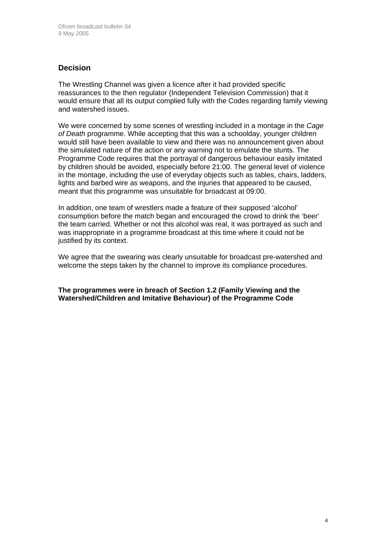# **Decision**

The Wrestling Channel was given a licence after it had provided specific reassurances to the then regulator (Independent Television Commission) that it would ensure that all its output complied fully with the Codes regarding family viewing and watershed issues.

We were concerned by some scenes of wrestling included in a montage in the *Cage of Death* programme. While accepting that this was a schoolday, younger children would still have been available to view and there was no announcement given about the simulated nature of the action or any warning not to emulate the stunts. The Programme Code requires that the portrayal of dangerous behaviour easily imitated by children should be avoided, especially before 21:00. The general level of violence in the montage, including the use of everyday objects such as tables, chairs, ladders, lights and barbed wire as weapons, and the injuries that appeared to be caused, meant that this programme was unsuitable for broadcast at 09:00.

In addition, one team of wrestlers made a feature of their supposed 'alcohol' consumption before the match began and encouraged the crowd to drink the 'beer' the team carried. Whether or not this alcohol was real, it was portrayed as such and was inappropriate in a programme broadcast at this time where it could not be iustified by its context.

We agree that the swearing was clearly unsuitable for broadcast pre-watershed and welcome the steps taken by the channel to improve its compliance procedures.

**The programmes were in breach of Section 1.2 (Family Viewing and the Watershed/Children and Imitative Behaviour) of the Programme Code**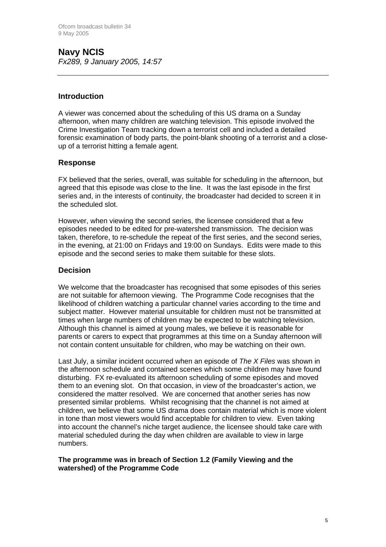**Navy NCIS**  *Fx289, 9 January 2005, 14:57*

#### **Introduction**

A viewer was concerned about the scheduling of this US drama on a Sunday afternoon, when many children are watching television. This episode involved the Crime Investigation Team tracking down a terrorist cell and included a detailed forensic examination of body parts, the point-blank shooting of a terrorist and a closeup of a terrorist hitting a female agent.

#### **Response**

FX believed that the series, overall, was suitable for scheduling in the afternoon, but agreed that this episode was close to the line. It was the last episode in the first series and, in the interests of continuity, the broadcaster had decided to screen it in the scheduled slot.

However, when viewing the second series, the licensee considered that a few episodes needed to be edited for pre-watershed transmission. The decision was taken, therefore, to re-schedule the repeat of the first series, and the second series, in the evening, at 21:00 on Fridays and 19:00 on Sundays. Edits were made to this episode and the second series to make them suitable for these slots.

#### **Decision**

We welcome that the broadcaster has recognised that some episodes of this series are not suitable for afternoon viewing. The Programme Code recognises that the likelihood of children watching a particular channel varies according to the time and subject matter. However material unsuitable for children must not be transmitted at times when large numbers of children may be expected to be watching television. Although this channel is aimed at young males, we believe it is reasonable for parents or carers to expect that programmes at this time on a Sunday afternoon will not contain content unsuitable for children, who may be watching on their own.

Last July, a similar incident occurred when an episode of *The X Files* was shown in the afternoon schedule and contained scenes which some children may have found disturbing. FX re-evaluated its afternoon scheduling of some episodes and moved them to an evening slot. On that occasion, in view of the broadcaster's action, we considered the matter resolved. We are concerned that another series has now presented similar problems. Whilst recognising that the channel is not aimed at children, we believe that some US drama does contain material which is more violent in tone than most viewers would find acceptable for children to view. Even taking into account the channel's niche target audience, the licensee should take care with material scheduled during the day when children are available to view in large numbers.

#### **The programme was in breach of Section 1.2 (Family Viewing and the watershed) of the Programme Code**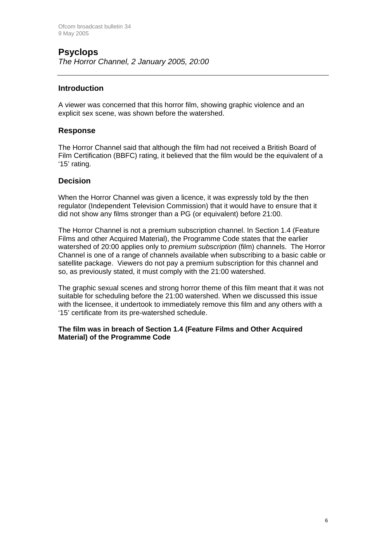# **Psyclops**

*The Horror Channel, 2 January 2005, 20:00*

### **Introduction**

A viewer was concerned that this horror film, showing graphic violence and an explicit sex scene, was shown before the watershed.

#### **Response**

The Horror Channel said that although the film had not received a British Board of Film Certification (BBFC) rating, it believed that the film would be the equivalent of a '15' rating.

#### **Decision**

When the Horror Channel was given a licence, it was expressly told by the then regulator (Independent Television Commission) that it would have to ensure that it did not show any films stronger than a PG (or equivalent) before 21:00.

The Horror Channel is not a premium subscription channel. In Section 1.4 (Feature Films and other Acquired Material), the Programme Code states that the earlier watershed of 20:00 applies only to *premium subscription* (film) channels. The Horror Channel is one of a range of channels available when subscribing to a basic cable or satellite package. Viewers do not pay a premium subscription for this channel and so, as previously stated, it must comply with the 21:00 watershed.

The graphic sexual scenes and strong horror theme of this film meant that it was not suitable for scheduling before the 21:00 watershed. When we discussed this issue with the licensee, it undertook to immediately remove this film and any others with a '15' certificate from its pre-watershed schedule.

#### **The film was in breach of Section 1.4 (Feature Films and Other Acquired Material) of the Programme Code**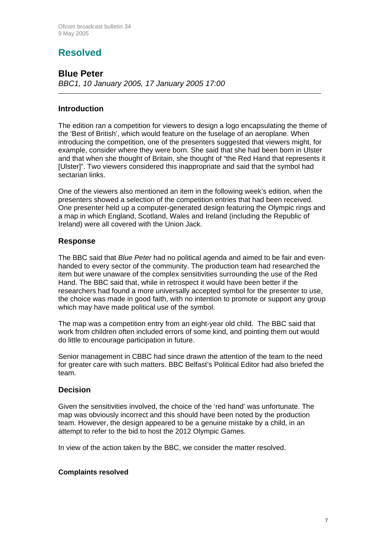# **Resolved**

**Blue Peter**  *BBC1, 10 January 2005, 17 January 2005 17:00* 

# **Introduction**

The edition ran a competition for viewers to design a logo encapsulating the theme of the 'Best of British', which would feature on the fuselage of an aeroplane. When introducing the competition, one of the presenters suggested that viewers might, for example, consider where they were born. She said that she had been born in Ulster and that when she thought of Britain, she thought of "the Red Hand that represents it [Ulster]". Two viewers considered this inappropriate and said that the symbol had sectarian links.

One of the viewers also mentioned an item in the following week's edition, when the presenters showed a selection of the competition entries that had been received. One presenter held up a computer-generated design featuring the Olympic rings and a map in which England, Scotland, Wales and Ireland (including the Republic of Ireland) were all covered with the Union Jack.

#### **Response**

The BBC said that *Blue Peter* had no political agenda and aimed to be fair and evenhanded to every sector of the community. The production team had researched the item but were unaware of the complex sensitivities surrounding the use of the Red Hand. The BBC said that, while in retrospect it would have been better if the researchers had found a more universally accepted symbol for the presenter to use, the choice was made in good faith, with no intention to promote or support any group which may have made political use of the symbol.

The map was a competition entry from an eight-year old child. The BBC said that work from children often included errors of some kind, and pointing them out would do little to encourage participation in future.

Senior management in CBBC had since drawn the attention of the team to the need for greater care with such matters. BBC Belfast's Political Editor had also briefed the team.

#### **Decision**

Given the sensitivities involved, the choice of the 'red hand' was unfortunate. The map was obviously incorrect and this should have been noted by the production team. However, the design appeared to be a genuine mistake by a child, in an attempt to refer to the bid to host the 2012 Olympic Games.

In view of the action taken by the BBC, we consider the matter resolved.

#### **Complaints resolved**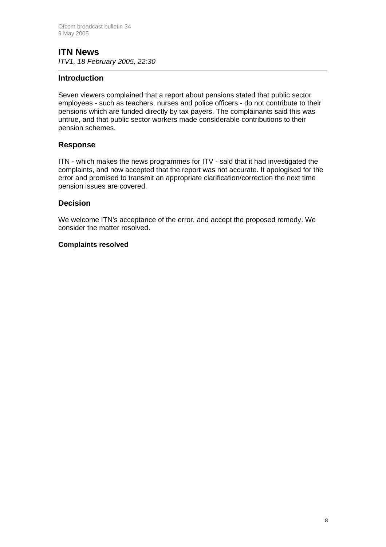# **ITN News**

*ITV1, 18 February 2005, 22:30* 

#### **Introduction**

Seven viewers complained that a report about pensions stated that public sector employees - such as teachers, nurses and police officers - do not contribute to their pensions which are funded directly by tax payers. The complainants said this was untrue, and that public sector workers made considerable contributions to their pension schemes.

#### **Response**

ITN - which makes the news programmes for ITV - said that it had investigated the complaints, and now accepted that the report was not accurate. It apologised for the error and promised to transmit an appropriate clarification/correction the next time pension issues are covered.

#### **Decision**

We welcome ITN's acceptance of the error, and accept the proposed remedy. We consider the matter resolved.

#### **Complaints resolved**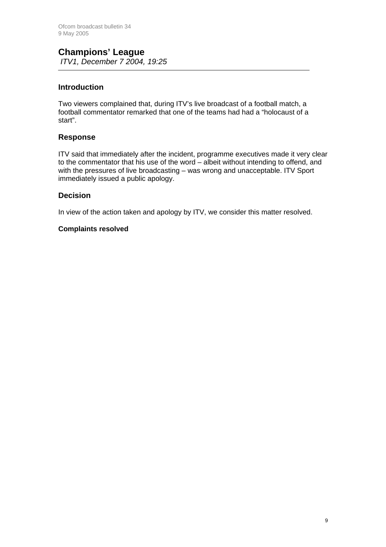### **Champions' League**   *ITV1, December 7 2004, 19:25*

### **Introduction**

Two viewers complained that, during ITV's live broadcast of a football match, a football commentator remarked that one of the teams had had a "holocaust of a start".

#### **Response**

ITV said that immediately after the incident, programme executives made it very clear to the commentator that his use of the word – albeit without intending to offend, and with the pressures of live broadcasting – was wrong and unacceptable. ITV Sport immediately issued a public apology.

#### **Decision**

In view of the action taken and apology by ITV, we consider this matter resolved.

#### **Complaints resolved**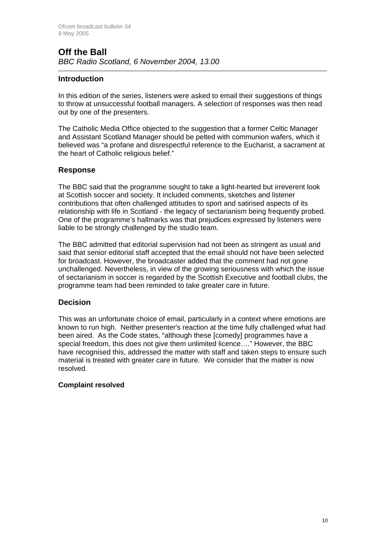### **Off the Ball** *BBC Radio Scotland, 6 November 2004, 13.00*

#### **Introduction**

In this edition of the series, listeners were asked to email their suggestions of things to throw at unsuccessful football managers. A selection of responses was then read out by one of the presenters.

The Catholic Media Office objected to the suggestion that a former Celtic Manager and Assistant Scotland Manager should be pelted with communion wafers, which it believed was "a profane and disrespectful reference to the Eucharist, a sacrament at the heart of Catholic religious belief."

#### **Response**

The BBC said that the programme sought to take a light-hearted but irreverent look at Scottish soccer and society. It included comments, sketches and listener contributions that often challenged attitudes to sport and satirised aspects of its relationship with life in Scotland - the legacy of sectarianism being frequently probed. One of the programme's hallmarks was that prejudices expressed by listeners were liable to be strongly challenged by the studio team.

The BBC admitted that editorial supervision had not been as stringent as usual and said that senior editorial staff accepted that the email should not have been selected for broadcast. However, the broadcaster added that the comment had not gone unchallenged. Nevertheless, in view of the growing seriousness with which the issue of sectarianism in soccer is regarded by the Scottish Executive and football clubs, the programme team had been reminded to take greater care in future.

#### **Decision**

This was an unfortunate choice of email, particularly in a context where emotions are known to run high. Neither presenter's reaction at the time fully challenged what had been aired. As the Code states, "although these [comedy] programmes have a special freedom, this does not give them unlimited licence…." However, the BBC have recognised this, addressed the matter with staff and taken steps to ensure such material is treated with greater care in future. We consider that the matter is now resolved.

#### **Complaint resolved**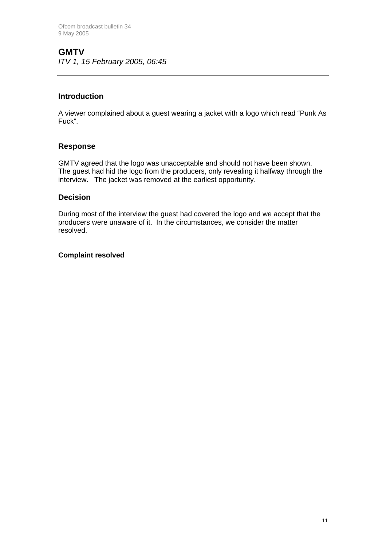# **GMTV**  *ITV 1, 15 February 2005, 06:45*

### **Introduction**

A viewer complained about a guest wearing a jacket with a logo which read "Punk As Fuck".

#### **Response**

GMTV agreed that the logo was unacceptable and should not have been shown. The guest had hid the logo from the producers, only revealing it halfway through the interview. The jacket was removed at the earliest opportunity.

### **Decision**

During most of the interview the guest had covered the logo and we accept that the producers were unaware of it. In the circumstances, we consider the matter resolved.

#### **Complaint resolved**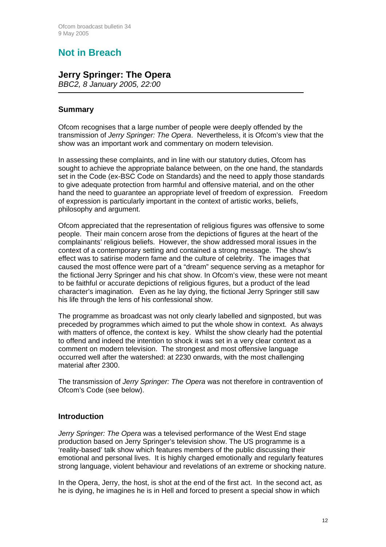# **Not in Breach**

# **Jerry Springer: The Opera**

*BBC2, 8 January 2005, 22:00* 

# **Summary**

Ofcom recognises that a large number of people were deeply offended by the transmission of *Jerry Springer: The Opera*. Nevertheless, it is Ofcom's view that the show was an important work and commentary on modern television.

In assessing these complaints, and in line with our statutory duties, Ofcom has sought to achieve the appropriate balance between, on the one hand, the standards set in the Code (ex-BSC Code on Standards) and the need to apply those standards to give adequate protection from harmful and offensive material, and on the other hand the need to guarantee an appropriate level of freedom of expression. Freedom of expression is particularly important in the context of artistic works, beliefs, philosophy and argument.

Ofcom appreciated that the representation of religious figures was offensive to some people. Their main concern arose from the depictions of figures at the heart of the complainants' religious beliefs. However, the show addressed moral issues in the context of a contemporary setting and contained a strong message. The show's effect was to satirise modern fame and the culture of celebrity. The images that caused the most offence were part of a "dream" sequence serving as a metaphor for the fictional Jerry Springer and his chat show. In Ofcom's view, these were not meant to be faithful or accurate depictions of religious figures, but a product of the lead character's imagination. Even as he lay dying, the fictional Jerry Springer still saw his life through the lens of his confessional show.

The programme as broadcast was not only clearly labelled and signposted, but was preceded by programmes which aimed to put the whole show in context. As always with matters of offence, the context is key. Whilst the show clearly had the potential to offend and indeed the intention to shock it was set in a very clear context as a comment on modern television. The strongest and most offensive language occurred well after the watershed: at 2230 onwards, with the most challenging material after 2300.

The transmission of *Jerry Springer: The Opera* was not therefore in contravention of Ofcom's Code (see below).

#### **Introduction**

*Jerry Springer: The Opera* was a televised performance of the West End stage production based on Jerry Springer's television show. The US programme is a 'reality-based' talk show which features members of the public discussing their emotional and personal lives. It is highly charged emotionally and regularly features strong language, violent behaviour and revelations of an extreme or shocking nature.

In the Opera, Jerry, the host, is shot at the end of the first act. In the second act, as he is dying, he imagines he is in Hell and forced to present a special show in which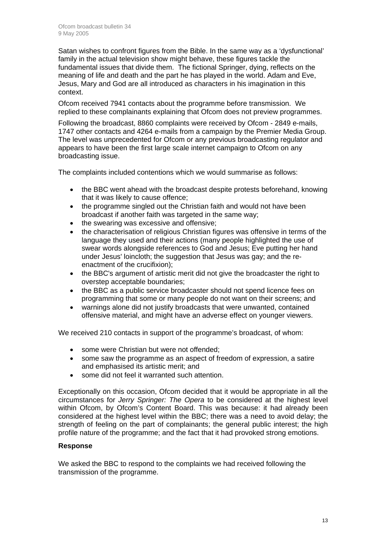Satan wishes to confront figures from the Bible. In the same way as a 'dysfunctional' family in the actual television show might behave, these figures tackle the fundamental issues that divide them. The fictional Springer, dying, reflects on the meaning of life and death and the part he has played in the world. Adam and Eve, Jesus, Mary and God are all introduced as characters in his imagination in this context.

Ofcom received 7941 contacts about the programme before transmission. We replied to these complainants explaining that Ofcom does not preview programmes.

Following the broadcast, 8860 complaints were received by Ofcom - 2849 e-mails, 1747 other contacts and 4264 e-mails from a campaign by the Premier Media Group. The level was unprecedented for Ofcom or any previous broadcasting regulator and appears to have been the first large scale internet campaign to Ofcom on any broadcasting issue.

The complaints included contentions which we would summarise as follows:

- the BBC went ahead with the broadcast despite protests beforehand, knowing that it was likely to cause offence;
- the programme singled out the Christian faith and would not have been broadcast if another faith was targeted in the same way;
- the swearing was excessive and offensive;
- the characterisation of religious Christian figures was offensive in terms of the language they used and their actions (many people highlighted the use of swear words alongside references to God and Jesus; Eve putting her hand under Jesus' loincloth; the suggestion that Jesus was gay; and the reenactment of the crucifixion);
- the BBC's argument of artistic merit did not give the broadcaster the right to overstep acceptable boundaries;
- the BBC as a public service broadcaster should not spend licence fees on programming that some or many people do not want on their screens; and
- warnings alone did not justify broadcasts that were unwanted, contained offensive material, and might have an adverse effect on younger viewers.

We received 210 contacts in support of the programme's broadcast, of whom:

- some were Christian but were not offended;
- some saw the programme as an aspect of freedom of expression, a satire and emphasised its artistic merit; and
- some did not feel it warranted such attention.

Exceptionally on this occasion, Ofcom decided that it would be appropriate in all the circumstances for *Jerry Springer: The Opera* to be considered at the highest level within Ofcom, by Ofcom's Content Board. This was because: it had already been considered at the highest level within the BBC; there was a need to avoid delay; the strength of feeling on the part of complainants; the general public interest; the high profile nature of the programme; and the fact that it had provoked strong emotions.

#### **Response**

We asked the BBC to respond to the complaints we had received following the transmission of the programme.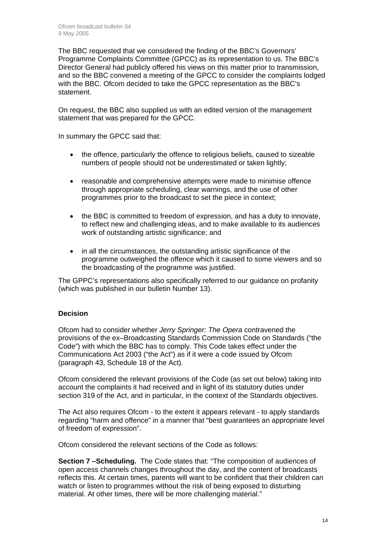The BBC requested that we considered the finding of the BBC's Governors' Programme Complaints Committee (GPCC) as its representation to us. The BBC's Director General had publicly offered his views on this matter prior to transmission, and so the BBC convened a meeting of the GPCC to consider the complaints lodged with the BBC. Ofcom decided to take the GPCC representation as the BBC's statement.

On request, the BBC also supplied us with an edited version of the management statement that was prepared for the GPCC.

In summary the GPCC said that:

- the offence, particularly the offence to religious beliefs, caused to sizeable numbers of people should not be underestimated or taken lightly;
- reasonable and comprehensive attempts were made to minimise offence through appropriate scheduling, clear warnings, and the use of other programmes prior to the broadcast to set the piece in context;
- the BBC is committed to freedom of expression, and has a duty to innovate, to reflect new and challenging ideas, and to make available to its audiences work of outstanding artistic significance; and
- in all the circumstances, the outstanding artistic significance of the programme outweighed the offence which it caused to some viewers and so the broadcasting of the programme was justified.

The GPPC's representations also specifically referred to our guidance on profanity (which was published in our bulletin Number 13).

#### **Decision**

Ofcom had to consider whether *Jerry Springer: The Opera* contravened the provisions of the ex–Broadcasting Standards Commission Code on Standards ("the Code") with which the BBC has to comply. This Code takes effect under the Communications Act 2003 ("the Act") as if it were a code issued by Ofcom (paragraph 43, Schedule 18 of the Act).

Ofcom considered the relevant provisions of the Code (as set out below) taking into account the complaints it had received and in light of its statutory duties under section 319 of the Act, and in particular, in the context of the Standards objectives.

The Act also requires Ofcom - to the extent it appears relevant - to apply standards regarding "harm and offence" in a manner that "best guarantees an appropriate level of freedom of expression".

Ofcom considered the relevant sections of the Code as follows:

**Section 7 –Scheduling.** The Code states that: "The composition of audiences of open access channels changes throughout the day, and the content of broadcasts reflects this. At certain times, parents will want to be confident that their children can watch or listen to programmes without the risk of being exposed to disturbing material. At other times, there will be more challenging material."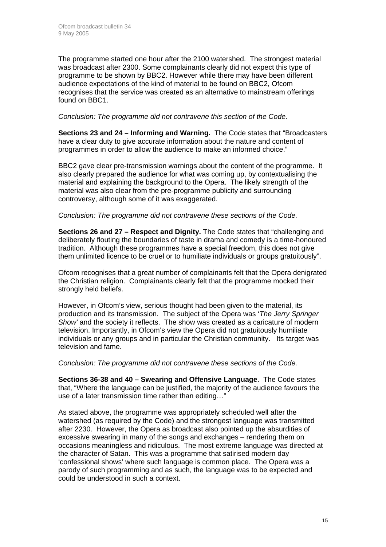The programme started one hour after the 2100 watershed. The strongest material was broadcast after 2300. Some complainants clearly did not expect this type of programme to be shown by BBC2. However while there may have been different audience expectations of the kind of material to be found on BBC2, Ofcom recognises that the service was created as an alternative to mainstream offerings found on BBC1.

#### *Conclusion: The programme did not contravene this section of the Code.*

**Sections 23 and 24 – Informing and Warning.** The Code states that "Broadcasters have a clear duty to give accurate information about the nature and content of programmes in order to allow the audience to make an informed choice."

BBC2 gave clear pre-transmission warnings about the content of the programme. It also clearly prepared the audience for what was coming up, by contextualising the material and explaining the background to the Opera. The likely strength of the material was also clear from the pre-programme publicity and surrounding controversy, although some of it was exaggerated.

#### *Conclusion: The programme did not contravene these sections of the Code.*

**Sections 26 and 27 – Respect and Dignity.** The Code states that "challenging and deliberately flouting the boundaries of taste in drama and comedy is a time-honoured tradition. Although these programmes have a special freedom, this does not give them unlimited licence to be cruel or to humiliate individuals or groups gratuitously".

Ofcom recognises that a great number of complainants felt that the Opera denigrated the Christian religion. Complainants clearly felt that the programme mocked their strongly held beliefs.

However, in Ofcom's view, serious thought had been given to the material, its production and its transmission. The subject of the Opera was '*The Jerry Springer Show'* and the society it reflects. The show was created as a caricature of modern television. Importantly, in Ofcom's view the Opera did not gratuitously humiliate individuals or any groups and in particular the Christian community. Its target was television and fame.

#### *Conclusion: The programme did not contravene these sections of the Code.*

**Sections 36-38 and 40 – Swearing and Offensive Language**.The Code states that, "Where the language can be justified, the majority of the audience favours the use of a later transmission time rather than editing…"

As stated above, the programme was appropriately scheduled well after the watershed (as required by the Code) and the strongest language was transmitted after 2230. However, the Opera as broadcast also pointed up the absurdities of excessive swearing in many of the songs and exchanges – rendering them on occasions meaningless and ridiculous. The most extreme language was directed at the character of Satan. This was a programme that satirised modern day 'confessional shows' where such language is common place. The Opera was a parody of such programming and as such, the language was to be expected and could be understood in such a context.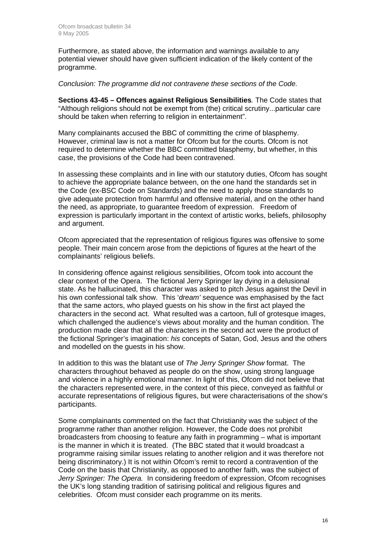Furthermore, as stated above, the information and warnings available to any potential viewer should have given sufficient indication of the likely content of the programme.

#### *Conclusion: The programme did not contravene these sections of the Code.*

**Sections 43-45 – Offences against Religious Sensibilities***.* The Code states that "Although religions should not be exempt from (the) critical scrutiny...particular care should be taken when referring to religion in entertainment".

Many complainants accused the BBC of committing the crime of blasphemy. However, criminal law is not a matter for Ofcom but for the courts. Ofcom is not required to determine whether the BBC committed blasphemy, but whether, in this case, the provisions of the Code had been contravened.

In assessing these complaints and in line with our statutory duties, Ofcom has sought to achieve the appropriate balance between, on the one hand the standards set in the Code (ex-BSC Code on Standards) and the need to apply those standards to give adequate protection from harmful and offensive material, and on the other hand the need, as appropriate, to guarantee freedom of expression. Freedom of expression is particularly important in the context of artistic works, beliefs, philosophy and argument.

Ofcom appreciated that the representation of religious figures was offensive to some people. Their main concern arose from the depictions of figures at the heart of the complainants' religious beliefs.

In considering offence against religious sensibilities, Ofcom took into account the clear context of the Opera. The fictional Jerry Springer lay dying in a delusional state. As he hallucinated, this character was asked to pitch Jesus against the Devil in his own confessional talk show. This '*dream'* sequence was emphasised by the fact that the same actors, who played guests on his show in the first act played the characters in the second act. What resulted was a cartoon, full of grotesque images, which challenged the audience's views about morality and the human condition. The production made clear that all the characters in the second act were the product of the fictional Springer's imagination: *his* concepts of Satan, God, Jesus and the others and modelled on the guests in his show.

In addition to this was the blatant use of *The Jerry Springer Show* format. The characters throughout behaved as people do on the show, using strong language and violence in a highly emotional manner. In light of this, Ofcom did not believe that the characters represented were, in the context of this piece, conveyed as faithful or accurate representations of religious figures, but were characterisations of the show's participants.

Some complainants commented on the fact that Christianity was the subject of the programme rather than another religion. However, the Code does not prohibit broadcasters from choosing to feature any faith in programming – what is important is the manner in which it is treated. (The BBC stated that it would broadcast a programme raising similar issues relating to another religion and it was therefore not being discriminatory.) It is not within Ofcom's remit to record a contravention of the Code on the basis that Christianity, as opposed to another faith, was the subject of *Jerry Springer: The Opera.* In considering freedom of expression, Ofcom recognises the UK's long standing tradition of satirising political and religious figures and celebrities. Ofcom must consider each programme on its merits.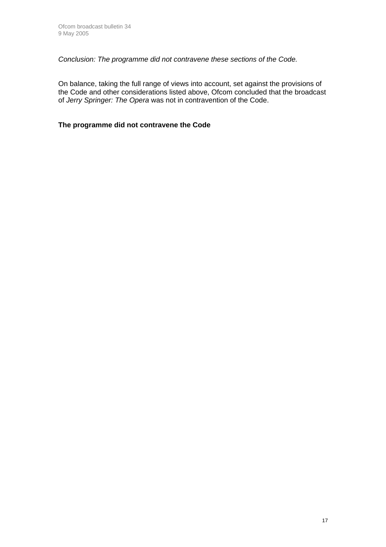*Conclusion: The programme did not contravene these sections of the Code.*

On balance, taking the full range of views into account, set against the provisions of the Code and other considerations listed above, Ofcom concluded that the broadcast of *Jerry Springer: The Opera* was not in contravention of the Code.

# **The programme did not contravene the Code**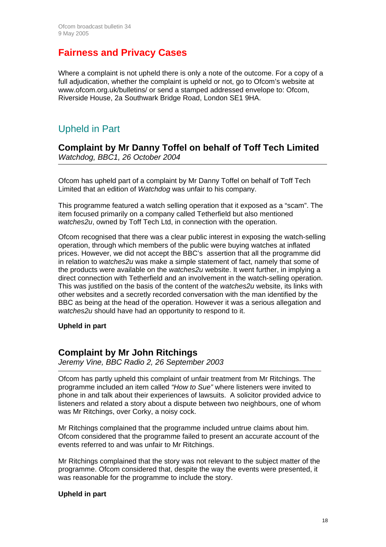# **Fairness and Privacy Cases**

Where a complaint is not upheld there is only a note of the outcome. For a copy of a full adjudication, whether the complaint is upheld or not, go to Ofcom's website at www.ofcom.org.uk/bulletins/ or send a stamped addressed envelope to: Ofcom, Riverside House, 2a Southwark Bridge Road, London SE1 9HA.

# Upheld in Part

**Complaint by Mr Danny Toffel on behalf of Toff Tech Limited**  *Watchdog, BBC1, 26 October 2004* 

Ofcom has upheld part of a complaint by Mr Danny Toffel on behalf of Toff Tech Limited that an edition of *Watchdog* was unfair to his company.

This programme featured a watch selling operation that it exposed as a "scam". The item focused primarily on a company called Tetherfield but also mentioned *watches2u*, owned by Toff Tech Ltd, in connection with the operation.

Ofcom recognised that there was a clear public interest in exposing the watch-selling operation, through which members of the public were buying watches at inflated prices. However, we did not accept the BBC's assertion that all the programme did in relation to *watches2u* was make a simple statement of fact, namely that some of the products were available on the *watches2u* website. It went further, in implying a direct connection with Tetherfield and an involvement in the watch-selling operation. This was justified on the basis of the content of the *watches2u* website, its links with other websites and a secretly recorded conversation with the man identified by the BBC as being at the head of the operation. However it was a serious allegation and *watches2u* should have had an opportunity to respond to it.

#### **Upheld in part**

#### **Complaint by Mr John Ritchings**

*Jeremy Vine, BBC Radio 2, 26 September 2003* 

Ofcom has partly upheld this complaint of unfair treatment from Mr Ritchings. The programme included an item called *"How to Sue"* where listeners were invited to phone in and talk about their experiences of lawsuits. A solicitor provided advice to listeners and related a story about a dispute between two neighbours, one of whom was Mr Ritchings, over Corky, a noisy cock.

Mr Ritchings complained that the programme included untrue claims about him. Ofcom considered that the programme failed to present an accurate account of the events referred to and was unfair to Mr Ritchings.

Mr Ritchings complained that the story was not relevant to the subject matter of the programme. Ofcom considered that, despite the way the events were presented, it was reasonable for the programme to include the story.

#### **Upheld in part**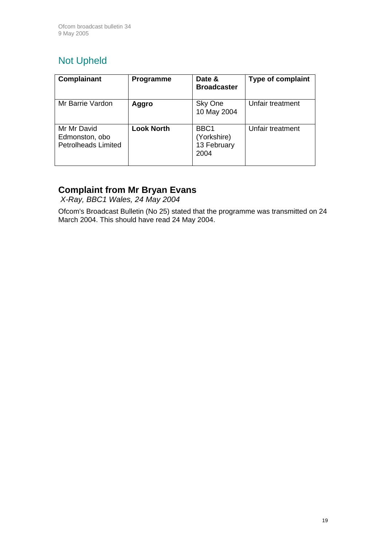# Not Upheld

| <b>Complainant</b>                                          | <b>Programme</b>  | Date &<br><b>Broadcaster</b>                           | <b>Type of complaint</b> |
|-------------------------------------------------------------|-------------------|--------------------------------------------------------|--------------------------|
| Mr Barrie Vardon                                            | Aggro             | Sky One<br>10 May 2004                                 | Unfair treatment         |
| Mr Mr David<br>Edmonston, obo<br><b>Petrolheads Limited</b> | <b>Look North</b> | BBC <sub>1</sub><br>(Yorkshire)<br>13 February<br>2004 | Unfair treatment         |

# **Complaint from Mr Bryan Evans**

 *X-Ray, BBC1 Wales, 24 May 2004* 

Ofcom's Broadcast Bulletin (No 25) stated that the programme was transmitted on 24 March 2004. This should have read 24 May 2004.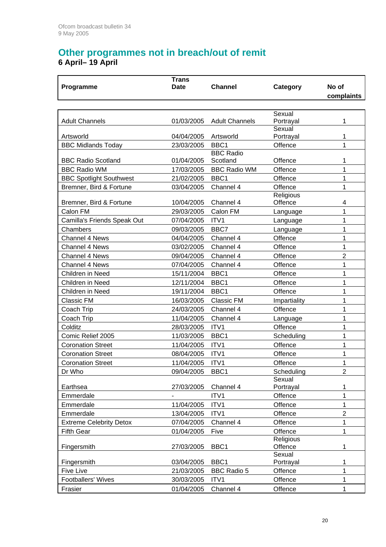# **Other programmes not in breach/out of remit 6 April– 19 April**

|                                | <b>Trans</b> |                       |                     |                |  |
|--------------------------------|--------------|-----------------------|---------------------|----------------|--|
| Programme                      | <b>Date</b>  | <b>Channel</b>        | Category            | No of          |  |
|                                |              |                       |                     | complaints     |  |
|                                |              |                       |                     |                |  |
|                                |              |                       | Sexual              |                |  |
| <b>Adult Channels</b>          | 01/03/2005   | <b>Adult Channels</b> | Portrayal<br>Sexual | 1              |  |
| Artsworld                      | 04/04/2005   | Artsworld             | Portrayal           | 1              |  |
| <b>BBC Midlands Today</b>      | 23/03/2005   | BBC1                  | Offence             | 1              |  |
|                                |              | <b>BBC Radio</b>      |                     |                |  |
| <b>BBC Radio Scotland</b>      | 01/04/2005   | Scotland              | Offence             | 1              |  |
| <b>BBC Radio WM</b>            | 17/03/2005   | <b>BBC Radio WM</b>   | Offence             | 1              |  |
| <b>BBC Spotlight Southwest</b> | 21/02/2005   | BBC1                  | Offence             | 1              |  |
| Bremner, Bird & Fortune        | 03/04/2005   | Channel 4             | Offence             | 1              |  |
|                                |              |                       | Religious           |                |  |
| Bremner, Bird & Fortune        | 10/04/2005   | Channel 4             | Offence             | 4              |  |
| Calon FM                       | 29/03/2005   | Calon FM              | Language            | 1              |  |
| Camilla's Friends Speak Out    | 07/04/2005   | ITV1                  | Language            | 1              |  |
| Chambers                       | 09/03/2005   | BBC7                  | Language            | 1              |  |
| <b>Channel 4 News</b>          | 04/04/2005   | Channel 4             | Offence             | 1              |  |
| <b>Channel 4 News</b>          | 03/02/2005   | Channel 4             | Offence             | 1              |  |
| <b>Channel 4 News</b>          | 09/04/2005   | Channel 4             | Offence             | $\overline{2}$ |  |
| <b>Channel 4 News</b>          | 07/04/2005   | Channel 4             | Offence             | 1              |  |
| Children in Need               | 15/11/2004   | BBC1                  | Offence             | 1              |  |
| Children in Need               | 12/11/2004   | BBC1                  | Offence             | 1              |  |
| Children in Need               | 19/11/2004   | BBC1                  | Offence             | 1              |  |
| Classic FM                     | 16/03/2005   | Classic FM            | Impartiality        | 1              |  |
| Coach Trip                     | 24/03/2005   | Channel 4             | Offence             | 1              |  |
| Coach Trip                     | 11/04/2005   | Channel 4             | Language            | 1              |  |
| Colditz                        | 28/03/2005   | ITV1                  | Offence             | 1              |  |
| Comic Relief 2005              | 11/03/2005   | BBC1                  | Scheduling          | 1              |  |
| <b>Coronation Street</b>       | 11/04/2005   | ITV1                  | Offence             | 1              |  |
| <b>Coronation Street</b>       | 08/04/2005   | ITV1                  | Offence             | 1              |  |
| <b>Coronation Street</b>       | 11/04/2005   | ITV1                  | Offence             | 1              |  |
| Dr Who                         | 09/04/2005   | BBC1                  | Scheduling          | $\overline{2}$ |  |
|                                |              |                       | Sexual              |                |  |
| Earthsea                       | 27/03/2005   | Channel 4             | Portrayal           | 1              |  |
| Emmerdale                      |              | ITV1                  | Offence             | 1              |  |
| Emmerdale                      | 11/04/2005   | ITV1                  | Offence             | 1              |  |
| Emmerdale                      | 13/04/2005   | ITV1                  | Offence             | $\overline{2}$ |  |
| <b>Extreme Celebrity Detox</b> | 07/04/2005   | Channel 4             | Offence             | 1              |  |
| <b>Fifth Gear</b>              | 01/04/2005   | Five                  | Offence             | 1              |  |
|                                |              |                       | Religious           |                |  |
| Fingersmith                    | 27/03/2005   | BBC1                  | Offence<br>Sexual   | 1              |  |
| Fingersmith                    | 03/04/2005   | BBC <sub>1</sub>      | Portrayal           | 1              |  |
| <b>Five Live</b>               | 21/03/2005   | <b>BBC Radio 5</b>    | Offence             | 1              |  |
| Footballers' Wives             | 30/03/2005   | ITV1                  | Offence             | 1              |  |
| Frasier                        | 01/04/2005   | Channel 4             | Offence             | 1              |  |
|                                |              |                       |                     |                |  |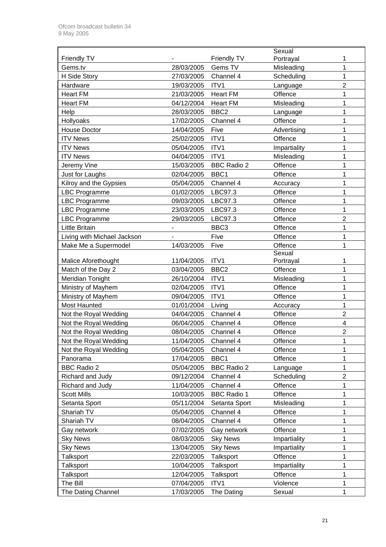|                             |            |                    | Sexual       |                         |
|-----------------------------|------------|--------------------|--------------|-------------------------|
| Friendly TV                 |            | Friendly TV        | Portrayal    | 1                       |
| Gems.tv                     | 28/03/2005 | Gems TV            | Misleading   | 1                       |
| H Side Story                | 27/03/2005 | Channel 4          | Scheduling   | 1                       |
| Hardware                    | 19/03/2005 | ITV1               | Language     | $\overline{2}$          |
| <b>Heart FM</b>             | 21/03/2005 | <b>Heart FM</b>    | Offence      | 1                       |
| <b>Heart FM</b>             | 04/12/2004 | <b>Heart FM</b>    | Misleading   | 1                       |
| Help                        | 28/03/2005 | BBC <sub>2</sub>   | Language     | 1                       |
| Hollyoaks                   | 17/02/2005 | Channel 4          | Offence      | 1                       |
| <b>House Doctor</b>         | 14/04/2005 | Five               | Advertising  | 1                       |
| <b>ITV News</b>             | 25/02/2005 | ITV1               | Offence      | 1                       |
| <b>ITV News</b>             | 05/04/2005 | ITV1               | Impartiality | 1                       |
| <b>ITV News</b>             | 04/04/2005 | ITV1               | Misleading   | 1                       |
| Jeremy Vine                 | 15/03/2005 | <b>BBC Radio 2</b> | Offence      | 1                       |
| Just for Laughs             | 02/04/2005 | BBC1               | Offence      | 1                       |
| Kilroy and the Gypsies      | 05/04/2005 | Channel 4          | Accuracy     | 1                       |
| <b>LBC Programme</b>        | 01/02/2005 | LBC97.3            | Offence      | 1                       |
| <b>LBC Programme</b>        | 09/03/2005 | LBC97.3            | Offence      | 1                       |
| <b>LBC Programme</b>        | 23/03/2005 | LBC97.3            | Offence      | 1                       |
| <b>LBC Programme</b>        | 29/03/2005 | LBC97.3            | Offence      | $\overline{2}$          |
| <b>Little Britain</b>       | ٠          | BBC <sub>3</sub>   | Offence      | 1                       |
| Living with Michael Jackson |            | Five               | Offence      | 1                       |
| Make Me a Supermodel        | 14/03/2005 | Five               | Offence      | 1                       |
|                             |            |                    | Sexual       |                         |
| Malice Aforethought         | 11/04/2005 | ITV1               | Portrayal    | 1                       |
| Match of the Day 2          | 03/04/2005 | BBC <sub>2</sub>   | Offence      | 1                       |
| Meridian Tonight            | 26/10/2004 | ITV1               | Misleading   | 1                       |
| Ministry of Mayhem          | 02/04/2005 | ITV1               | Offence      | 1                       |
| Ministry of Mayhem          | 09/04/2005 | ITV1               | Offence      | 1                       |
| Most Haunted                | 01/01/2004 | Living             | Accuracy     | 1                       |
| Not the Royal Wedding       | 04/04/2005 | Channel 4          | Offence      | $\overline{2}$          |
| Not the Royal Wedding       | 06/04/2005 | Channel 4          | Offence      | $\overline{\mathbf{4}}$ |
| Not the Royal Wedding       | 08/04/2005 | Channel 4          | Offence      | $\overline{2}$          |
| Not the Royal Wedding       | 11/04/2005 | Channel 4          | Offence      | 1                       |
| Not the Royal Wedding       | 05/04/2005 | Channel 4          | Offence      | 1                       |
| Panorama                    | 17/04/2005 | BBC1               | Offence      | 1                       |
| <b>BBC Radio 2</b>          | 05/04/2005 | <b>BBC Radio 2</b> | Language     | 1                       |
| Richard and Judy            | 09/12/2004 | Channel 4          | Scheduling   | $\overline{2}$          |
| Richard and Judy            | 11/04/2005 | Channel 4          | Offence      | 1                       |
| <b>Scott Mills</b>          | 10/03/2005 | <b>BBC Radio 1</b> | Offence      | 1                       |
| Setanta Sport               | 05/11/2004 | Setanta Sport      | Misleading   | 1                       |
|                             | 05/04/2005 | Channel 4          | Offence      | 1                       |
| Shariah TV                  |            |                    |              |                         |
| Shariah TV                  | 08/04/2005 | Channel 4          | Offence      | 1                       |
| Gay network                 | 07/02/2005 | Gay network        | Offence      | 1                       |
| <b>Sky News</b>             | 08/03/2005 | <b>Sky News</b>    | Impartiality | 1                       |
| <b>Sky News</b>             | 13/04/2005 | <b>Sky News</b>    | Impartiality | 1                       |
| Talksport                   | 22/03/2005 | Talksport          | Offence      | 1                       |
| Talksport                   | 10/04/2005 | <b>Talksport</b>   | Impartiality | 1                       |
| Talksport                   | 12/04/2005 | Talksport          | Offence      | 1                       |
| The Bill                    | 07/04/2005 | ITV1               | Violence     | 1                       |
| The Dating Channel          | 17/03/2005 | The Dating         | Sexual       | 1                       |